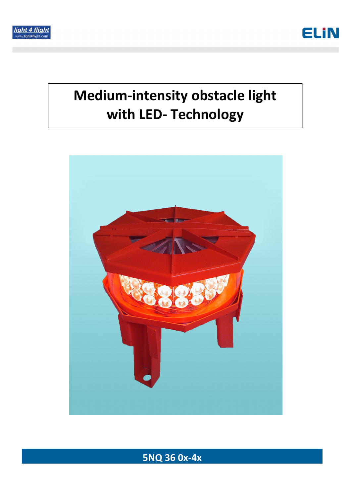



# Medium-intensity obstacle light with LED- Technology



## 5NQ 36 0x-4x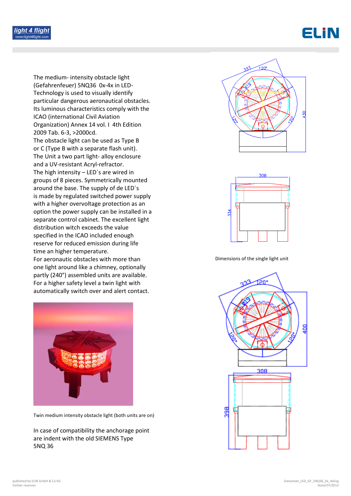



The medium- intensity obstacle light (Gefahrenfeuer) 5NQ36 0x-4x in LED-Technology is used to visually identify particular dangerous aeronautical obstacles. Its luminous characteristics comply with the ICAO (international Civil Aviation Organization) Annex 14 vol. I 4th Edition 2009 Tab. 6-3, >2000cd. The obstacle light can be used as Type B or C (Type B with a separate flash unit). The Unit a two part light- alloy enclosure and a UV-resistant Acryl-refractor. The high intensity – LED`s are wired in groups of 8 pieces. Symmetrically mounted around the base. The supply of de LED`s is made by regulated switched power supply with a higher overvoltage protection as an option the power supply can be installed in a separate control cabinet. The excellent light distribution witch exceeds the value specified in the ICAO included enough reserve for reduced emission during life time an higher temperature. For aeronautic obstacles with more than one light around like a chimney, optionally partly (240°) assembled units are available. For a higher safety level a twin light with automatically switch over and alert contact.



Twin medium intensity obstacle light (both units are on)

In case of compatibility the anchorage point are indent with the old SIEMENS Type 5NQ 36





Dimensions of the single light unit